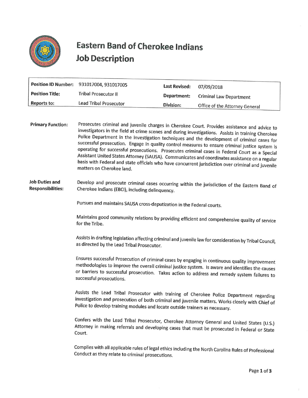

## Eastern Band of Cherokee Indians Eastern Band of Chern<br>Job Description Job Description

|                        | Position ID Number: 931017004, 931017005 | Last Revised: | 07/09/2018                     |
|------------------------|------------------------------------------|---------------|--------------------------------|
| <b>Position Title:</b> | Tribal Prosecutor II                     | Department:   | <b>Criminal Law Department</b> |
| Reports to:            | <b>Lead Tribal Prosecutor</b>            | Division:     | Office of the Attorney General |
|                        |                                          |               |                                |

Primary Function: Prosecutes criminal and juvenile charges in Cherokee Court. Provides assistance and advice to investigators in the field at crime scenes and during investigations. Assists in training Cherokee Police Department in the inve

## Job Duties and Responsibilities: Develop and prosecute criminal cases occurring within the jurisdiction of the Eastern Band of Cherokee Indians (EBCI), including delinquency.

Pursues and maintains SAUSA cross-deputization in the Federal courts.

Maintains good community relations by providing efficient and comprehensive quality of service for the Tribe.

Assists in drafting legislation affecting criminal and juvenile law for consideration by Tribal Council, as directed by the Lead Tribal Prosecutor.

Ensures successful Prosecution of criminal cases by engaging in continuous quality improvement<br>methodologies to improve the overall criminal justice system. Is aware and identifies the causes<br>or barriers to successful pros

Assists the Lead Tribal Prosecutor with training of Cherokee Police Department regarding<br>investigation and prosecution of both criminal and juvenile matters. Works closely with Chief of<br>Police to develop training modules a

Confers with the Lead Tribal Prosecutor, Cherokee Attorney General and United States (U.S.) Attorney in making referrals and developing cases that must be prosecuted in Federal or State Court.

Complies with all applicable rules of legal ethics including the North Carolina Rules of Professional Conduct as they relate to criminal prosecutions.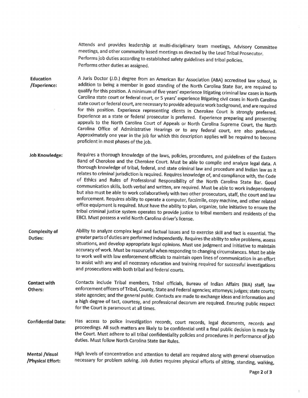Attends and provides leadership at multi-disciplinary team meetings, Advisory Committee meetings, and other community based meetings as directed by the Lead Tribal Prosecutor.<br>Performs job duties according to established s Performs other duties as assigned.

Education /Experience: A Juris Doctor (J.D.) degree from an American Bar Association (ABA) accredited law school, in addition to being a member in good standing of the North Carolina State Bar, are required to qualify for this position. A minimu

- Job Knowledge: Requires a thorough knowledge of the laws, policies, procedures, and guidelines of the Eastern<br>Band of Cherokee and the Cherokee Court. Must be able to compile and analyze legal data. A<br>thorough knowledge of tribal, federa
- Complexity of Duties: Ability to analyze complex legal and factual issues and to exercise skill and tact is essential. The greater parts of duties are performed independently. Requires the ability to solve problems, assess situations, and devel

Contact with Others: Contacts include Tribal members, Tribal officials, Bureau of Indian Affairs (BIA) staff, law enforcement officers of Tribal, County, State and Federal agencies; attorneys; judges; state courts; state agencies; and the gene

Confidential Data: Has access to police investigation records, court records, legal documents, records and proceedings. All such matters are likely to be confidential until a final public decision is made by the Court. Must adhere to all tri

Mental /Visual /Physical Effort: High levels of concentration and attention to detail are required along with general observation necessary for problem solving. Job duties requires physical efforts of sitting, standing, walking,